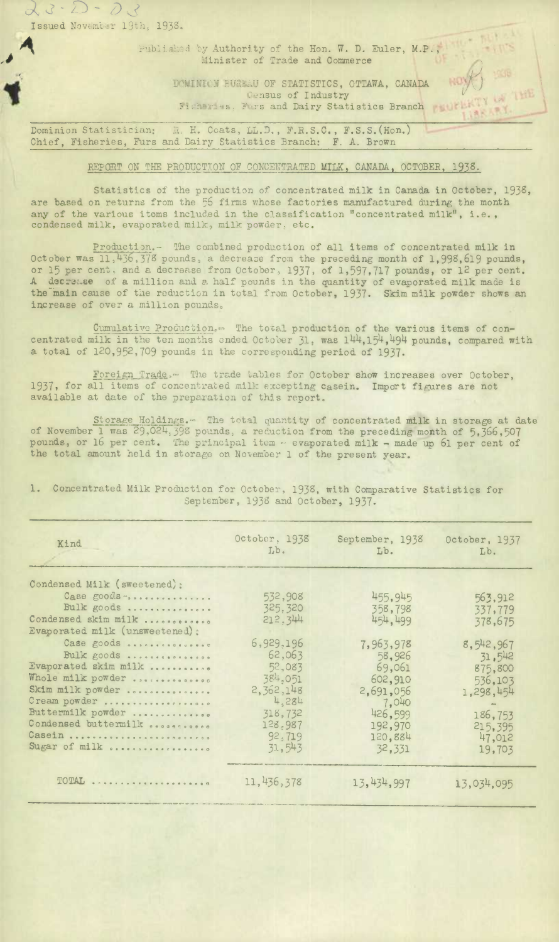Issued November 19th, 1938.

 $23 - 2 - 23$ 

Published by Authority of the Hon. W. D. Euler, M.P., Minister of Trade and Commerce

> DOMINION BUREAU OF STATISTICS, OTTAWA, CANADA Gensus of Industry **Figherians**, Fars and Dairy Statistics Branch PEUPLY

THE

 $\mathcal{P}^{\mathcal{E}}$ 

Dominion Statistician: R. H. Coats, LL.D., F.R.S.C., F.S.S.(Hon.) Chief, Fisheries, Furs and Dairy Statistics Branch: F. A. Brown

REPORT ON THE PRODUCTION OF CONCENTRATED MILK, CANADA, OCTOBER, 1938.

Statistics of the production of concentrated milk in Canada in October, 1938, are based on returns from the 56 firms whose factories manufactured during the month any of the various items included in the classification "concentrated milk", i.e., condensed milk, evaporated milk, milk powder. etc.

Production.- The combined production of all items of concentrated milk in October was  $11,436,378$  pounds, a decrease from the preceding month of 1,998,619 pounds, or 15 per cent, and a decrease from October, 1937, of 1,597,717 pounds, or 12 per cent. A decrease of a million and a half pounds in the quantity of evaporated milk made is the'main cause of the reduction **in** total from October, 1937. **Skim milk** powder shows an increase of over a million pounds,

Cumulative Production.- The total production of the various items of concentrated milk in the ten months ended October 31, was  $144,154,494$  pounds, compared with a total of 120,952,709 pounds in the corresponding period of 1937.

Foreign Trade. .. The trade tables for October show increases over October, 1937, for all items of concentrated milk excepting casein. Import figures are not available at date of the preparation of this report.

Storage Holdings. The total quantity of concentrated milk in storage at date of November 1 was  $29,024,398$  pounds, a reduction from the preceding month of  $5,366,507$ pounds, or 16 per cent. The principal item - evaporated milk - made up 61 per cent of the total amount held in storage on November 1 of the present year.

| Kind                                                                                                                                                                                               | October, 1938<br>Lb.                                                                             | September, 1938<br>Lb.                                                                          | October, 1937<br>Lb.                                                         |
|----------------------------------------------------------------------------------------------------------------------------------------------------------------------------------------------------|--------------------------------------------------------------------------------------------------|-------------------------------------------------------------------------------------------------|------------------------------------------------------------------------------|
| Condensed Milk (sweetened):<br>Case goods<br>Bulk goods<br>Condensed skim milk                                                                                                                     | 532,908<br>325, 320<br>212,344                                                                   | 455.945<br>358,798<br>454.499                                                                   | 563,912<br>337,779<br>378,675                                                |
| Evaporated milk (unsweetened):<br>Case goods<br>Bulk goods<br>Evaporated skim milk<br>Whole milk powder<br>Skim milk powder<br>Cream powder<br>Buttermilk powder<br>Condensed buttermilk<br>Casein | 6,929.196<br>62,063<br>52,083<br>384,051<br>2, 362, 148<br>4.284<br>318,732<br>128.987<br>92.719 | 7,963,978<br>58,926<br>69,061<br>602,910<br>2,691,056<br>7.040<br>426.599<br>192,970<br>120.884 | 8,542,967<br>31,542<br>875,800<br>536,103<br>1,298,454<br>186,753<br>215,395 |
| Sugar of milk                                                                                                                                                                                      | 31, 543                                                                                          | 32,331                                                                                          | 47,012<br>19,703                                                             |
|                                                                                                                                                                                                    | 11, 436, 378                                                                                     | 13, 434, 997                                                                                    | 13,034,095                                                                   |

1. Concentrated Milk Production for October. 1938, with Comparative Statistics for September, 1938 and October, 1937.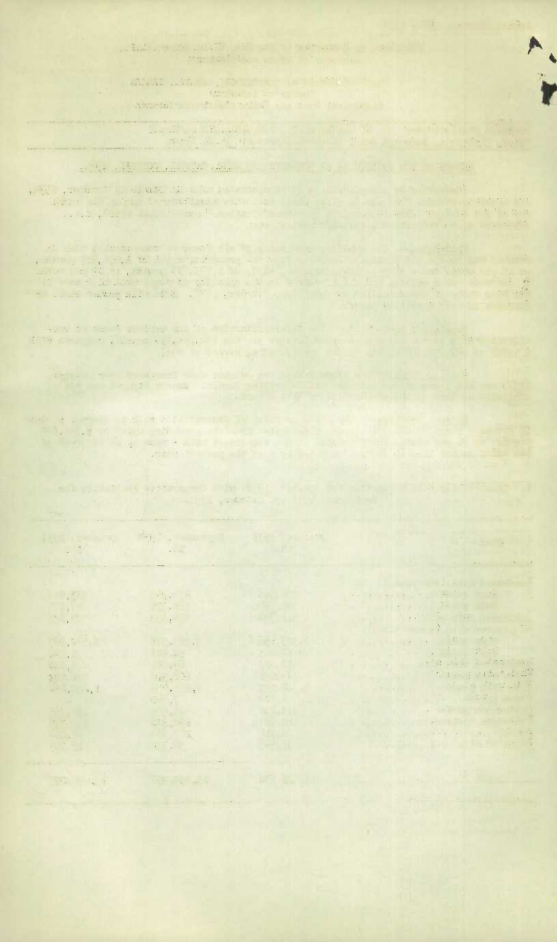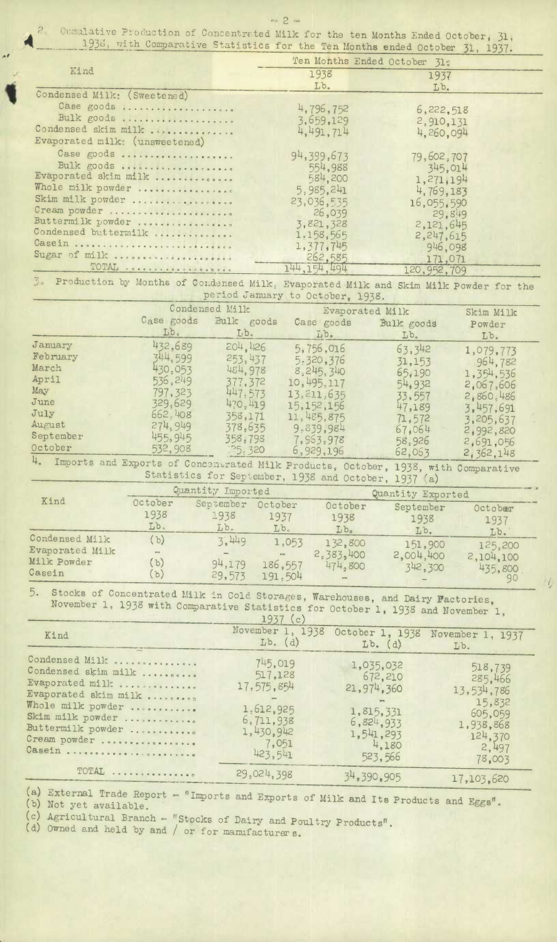Cumulative Production of Concentrated Milk for the ten Months Ended October, 31,  $2.$ 1935, with Comparative Statistics for the Ten Months ended October 31, 1937.

|                                | Ten Months Ended October 31; |             |  |  |  |
|--------------------------------|------------------------------|-------------|--|--|--|
| Kind                           | 1938                         | 1937        |  |  |  |
|                                | Lb.                          | Lb.         |  |  |  |
| Condensed Milk: (Sweetened)    |                              |             |  |  |  |
| Case goods                     | 4,796,752                    | 6,222,518   |  |  |  |
| Bulk goods                     | 3,659,129                    | 2,910,131   |  |  |  |
| Condensed skim milk            | 4, 491, 714                  | 4.260.094   |  |  |  |
| Evaporated milk; (unsweetened) |                              |             |  |  |  |
| Case goods                     | 94,399.673                   | 79,602,707  |  |  |  |
| Bulk goods                     | 554,988                      | 345.014     |  |  |  |
| Evaporated skim milk           | 584,200                      | 1, 271, 194 |  |  |  |
| Whole milk powder              | 5,985,241                    | 4,769,183   |  |  |  |
| Skim milk powder               | 23,036,535                   | 16,055,590  |  |  |  |
| Cream powder                   | 26,039                       | 29.849      |  |  |  |
| Buttermilk powder              | 3,821,328                    | 2,121,645   |  |  |  |
| Condensed buttermilk           | 1.158,565                    | 2, 247, 615 |  |  |  |
| Casein                         | 1,377,745                    | 946,098     |  |  |  |
| Sugar of milk                  | 262.585                      | 171,071     |  |  |  |
|                                | 144, 154, 494                | 120.952.709 |  |  |  |

3. Production by Months of Condensed Milk, Evaporated Milk and Skim Milk Powder for the period January to October. 1938.

|                                                                                                | Condensed Milk                                                                                                |                                                                                                                | Evaporated Milk                                                                                                                              | Skim Milk                                                                                         |                                                                                                                                  |  |
|------------------------------------------------------------------------------------------------|---------------------------------------------------------------------------------------------------------------|----------------------------------------------------------------------------------------------------------------|----------------------------------------------------------------------------------------------------------------------------------------------|---------------------------------------------------------------------------------------------------|----------------------------------------------------------------------------------------------------------------------------------|--|
|                                                                                                | Case goods<br>Lb.                                                                                             | Bulk goods<br>Lb.                                                                                              | Case goods<br>Lb.                                                                                                                            | Bulk goods<br>Lb.                                                                                 | Powder<br>Lb.                                                                                                                    |  |
| January<br>February<br>March<br>April<br>May<br>June<br>July<br>August<br>September<br>October | 432.689<br>344.599<br>430,053<br>536, 249<br>797, 323<br>329,629<br>662.408<br>274,949<br>455, 945<br>532,908 | 204, 426<br>253, 437<br>484.978<br>377, 372<br>447.573<br>470, 419<br>358,171<br>378,635<br>358,798<br>725.320 | 5,756,016<br>5.320,376<br>8, 245, 340<br>10, 495, 117<br>13, 211, 635<br>15, 152, 156<br>11, 485, 875<br>9.839.984<br>7,963,978<br>6,929,196 | 63, 342<br>31,153<br>65.190<br>54.932<br>33,557<br>47,189<br>71,572<br>67,064<br>58,926<br>62,063 | 1,079,773<br>964,782<br>1, 354, 536<br>2,067,606<br>2,860,486<br>3,457,691<br>3,205,637<br>2,992,820<br>2,691,056<br>2, 362, 148 |  |
|                                                                                                | 4. Imports and Exports of Concentrated Milk Products, October, 1938, with Comparative                         |                                                                                                                |                                                                                                                                              |                                                                                                   |                                                                                                                                  |  |

Statistics for September, 1938 and October, 1937 (a)

 $\overline{t}$ 

|                                                            | Quantity Imported                           |                           |                             | Quantity Exported                  |                                 |                                 |
|------------------------------------------------------------|---------------------------------------------|---------------------------|-----------------------------|------------------------------------|---------------------------------|---------------------------------|
| Kind                                                       | October<br>1938<br>Lb.                      | September<br>1938<br>Lb.  | October<br>1937<br>Lb.      | October<br>1938<br>Lb <sub>o</sub> | September<br>1938<br>Lb.        | October<br>1937<br>Lb.          |
| Condensed Milk<br>Evaporated Milk<br>Milk Powder<br>Casein | (b)<br><b>Britis</b><br>(b)<br>$\mathbf{b}$ | 3.449<br>94,179<br>29,573 | 1,053<br>186.557<br>191.504 | 132,800<br>2.383.400<br>474,800    | 151,900<br>2,004,400<br>342,300 | 125,200<br>2,104,100<br>435,800 |

5. Stocks of Concentrated Milk in Cold Storages, Warehouses, and Dairy Factories,<br>November 1, 1938 with Comparative Statistics for October 1, 1938 and November 1,

|                                                                                                                                                                          | $193/$ (c)                                                                                    |                                                                                               |                                                                                                    |
|--------------------------------------------------------------------------------------------------------------------------------------------------------------------------|-----------------------------------------------------------------------------------------------|-----------------------------------------------------------------------------------------------|----------------------------------------------------------------------------------------------------|
| Kind                                                                                                                                                                     | $Lb.$ (d)                                                                                     | $Lb.$ (d)                                                                                     | November 1, 1938 October 1, 1938 November 1, 1937<br>Lb.                                           |
| Condensed Milk<br>Condensed skim milk<br>Evaporated mill<br>Evaporated skim milk<br>Whole milk powder<br>Skim milk powder<br>Buttermilk powder<br>Cream powder<br>Casein | 745,019<br>517,128<br>17, 575, 854<br>1,612,925<br>6,711,938<br>1,430,942<br>7,051<br>423.541 | 1,035,032<br>672.210<br>21,974,360<br>1,815,331<br>6,824.933<br>1,541,293<br>4,180<br>523,566 | 518,739<br>285.466<br>13, 534, 786<br>15,832<br>605,059<br>1,938,868<br>124,370<br>2.497<br>78.003 |
| TOTAL                                                                                                                                                                    | 29,024,398                                                                                    | 34,390,905                                                                                    | 17,103.620                                                                                         |

(a) External Trade Report - "Imports and Exports of Milk and Its Products and Eggs".

(b) Not yet available.<br>
(c) Agricultural Branch -- "Stocks of Dairy and Poultry Products".<br>
(d) Owned and held by and / or for manufacturers.